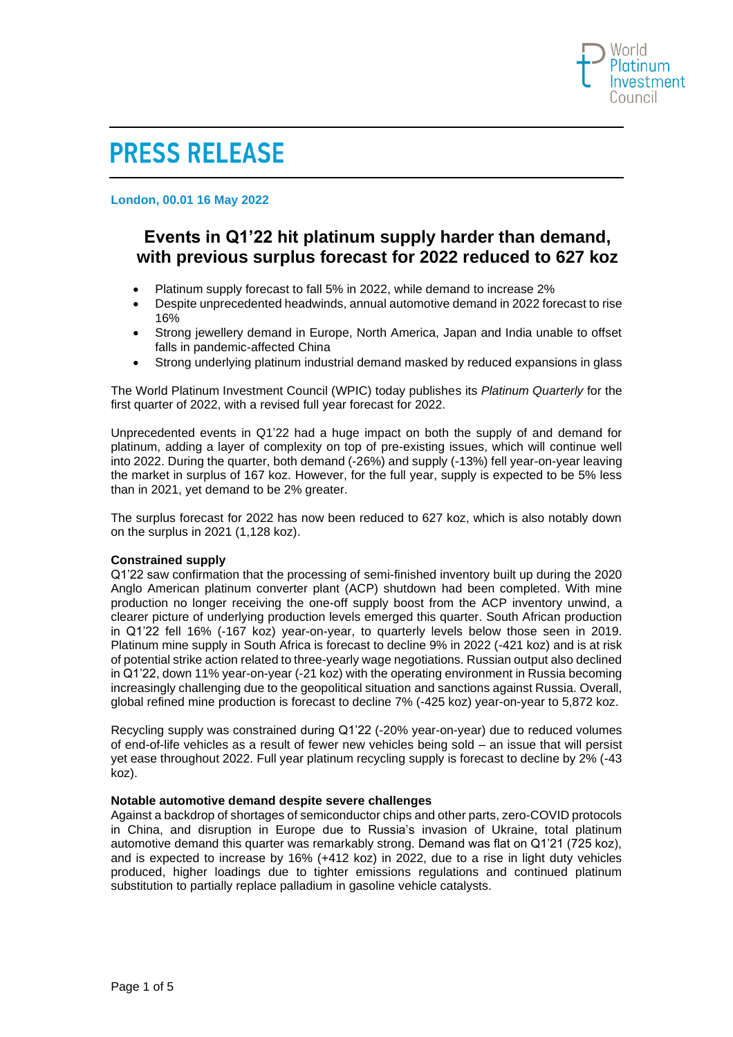

# **PRESS RELEASE**

**London, 00.01 16 May 2022**

# **Events in Q1'22 hit platinum supply harder than demand, with previous surplus forecast for 2022 reduced to 627 koz**

- Platinum supply forecast to fall 5% in 2022, while demand to increase 2%
- Despite unprecedented headwinds, annual automotive demand in 2022 forecast to rise 16%
- Strong jewellery demand in Europe, North America, Japan and India unable to offset falls in pandemic-affected China
- Strong underlying platinum industrial demand masked by reduced expansions in glass

The World Platinum Investment Council (WPIC) today publishes its *Platinum Quarterly* for the first quarter of 2022, with a revised full year forecast for 2022.

Unprecedented events in Q1'22 had a huge impact on both the supply of and demand for platinum, adding a layer of complexity on top of pre-existing issues, which will continue well into 2022. During the quarter, both demand (-26%) and supply (-13%) fell year-on-year leaving the market in surplus of 167 koz. However, for the full year, supply is expected to be 5% less than in 2021, yet demand to be 2% greater.

The surplus forecast for 2022 has now been reduced to 627 koz, which is also notably down on the surplus in 2021 (1,128 koz).

# **Constrained supply**

Q1'22 saw confirmation that the processing of semi-finished inventory built up during the 2020 Anglo American platinum converter plant (ACP) shutdown had been completed. With mine production no longer receiving the one-off supply boost from the ACP inventory unwind, a clearer picture of underlying production levels emerged this quarter. South African production in Q1'22 fell 16% (-167 koz) year-on-year, to quarterly levels below those seen in 2019. Platinum mine supply in South Africa is forecast to decline 9% in 2022 (-421 koz) and is at risk of potential strike action related to three-yearly wage negotiations. Russian output also declined in Q1'22, down 11% year-on-year (-21 koz) with the operating environment in Russia becoming increasingly challenging due to the geopolitical situation and sanctions against Russia. Overall, global refined mine production is forecast to decline 7% (-425 koz) year-on-year to 5,872 koz.

Recycling supply was constrained during Q1'22 (-20% year-on-year) due to reduced volumes of end-of-life vehicles as a result of fewer new vehicles being sold – an issue that will persist yet ease throughout 2022. Full year platinum recycling supply is forecast to decline by 2% (-43 koz).

# **Notable automotive demand despite severe challenges**

Against a backdrop of shortages of semiconductor chips and other parts, zero-COVID protocols in China, and disruption in Europe due to Russia's invasion of Ukraine, total platinum automotive demand this quarter was remarkably strong. Demand was flat on Q1'21 (725 koz), and is expected to increase by 16% (+412 koz) in 2022, due to a rise in light duty vehicles produced, higher loadings due to tighter emissions regulations and continued platinum substitution to partially replace palladium in gasoline vehicle catalysts.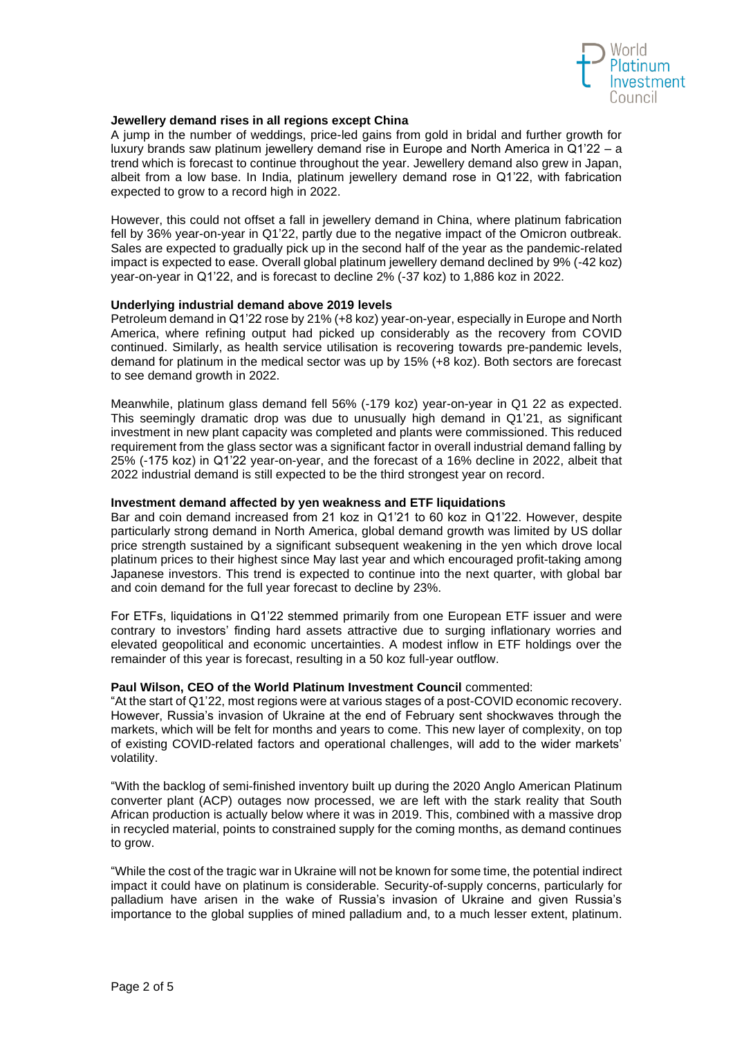

# **Jewellery demand rises in all regions except China**

A jump in the number of weddings, price-led gains from gold in bridal and further growth for luxury brands saw platinum jewellery demand rise in Europe and North America in Q1'22 – a trend which is forecast to continue throughout the year. Jewellery demand also grew in Japan, albeit from a low base. In India, platinum jewellery demand rose in Q1'22, with fabrication expected to grow to a record high in 2022.

However, this could not offset a fall in jewellery demand in China, where platinum fabrication fell by 36% year-on-year in Q1'22, partly due to the negative impact of the Omicron outbreak. Sales are expected to gradually pick up in the second half of the year as the pandemic-related impact is expected to ease. Overall global platinum jewellery demand declined by 9% (-42 koz) year-on-year in Q1'22, and is forecast to decline 2% (-37 koz) to 1,886 koz in 2022.

# **Underlying industrial demand above 2019 levels**

Petroleum demand in Q1'22 rose by 21% (+8 koz) year-on-year, especially in Europe and North America, where refining output had picked up considerably as the recovery from COVID continued. Similarly, as health service utilisation is recovering towards pre-pandemic levels, demand for platinum in the medical sector was up by 15% (+8 koz). Both sectors are forecast to see demand growth in 2022.

Meanwhile, platinum glass demand fell 56% (-179 koz) year-on-year in Q1 22 as expected. This seemingly dramatic drop was due to unusually high demand in Q1'21, as significant investment in new plant capacity was completed and plants were commissioned. This reduced requirement from the glass sector was a significant factor in overall industrial demand falling by 25% (-175 koz) in Q1'22 year-on-year, and the forecast of a 16% decline in 2022, albeit that 2022 industrial demand is still expected to be the third strongest year on record.

#### **Investment demand affected by yen weakness and ETF liquidations**

Bar and coin demand increased from 21 koz in Q1'21 to 60 koz in Q1'22. However, despite particularly strong demand in North America, global demand growth was limited by US dollar price strength sustained by a significant subsequent weakening in the yen which drove local platinum prices to their highest since May last year and which encouraged profit-taking among Japanese investors. This trend is expected to continue into the next quarter, with global bar and coin demand for the full year forecast to decline by 23%.

For ETFs, liquidations in Q1'22 stemmed primarily from one European ETF issuer and were contrary to investors' finding hard assets attractive due to surging inflationary worries and elevated geopolitical and economic uncertainties. A modest inflow in ETF holdings over the remainder of this year is forecast, resulting in a 50 koz full-year outflow.

#### **Paul Wilson, CEO of the World Platinum Investment Council** commented:

"At the start of Q1'22, most regions were at various stages of a post-COVID economic recovery. However, Russia's invasion of Ukraine at the end of February sent shockwaves through the markets, which will be felt for months and years to come. This new layer of complexity, on top of existing COVID-related factors and operational challenges, will add to the wider markets' volatility.

"With the backlog of semi-finished inventory built up during the 2020 Anglo American Platinum converter plant (ACP) outages now processed, we are left with the stark reality that South African production is actually below where it was in 2019. This, combined with a massive drop in recycled material, points to constrained supply for the coming months, as demand continues to grow.

"While the cost of the tragic war in Ukraine will not be known for some time, the potential indirect impact it could have on platinum is considerable. Security-of-supply concerns, particularly for palladium have arisen in the wake of Russia's invasion of Ukraine and given Russia's importance to the global supplies of mined palladium and, to a much lesser extent, platinum.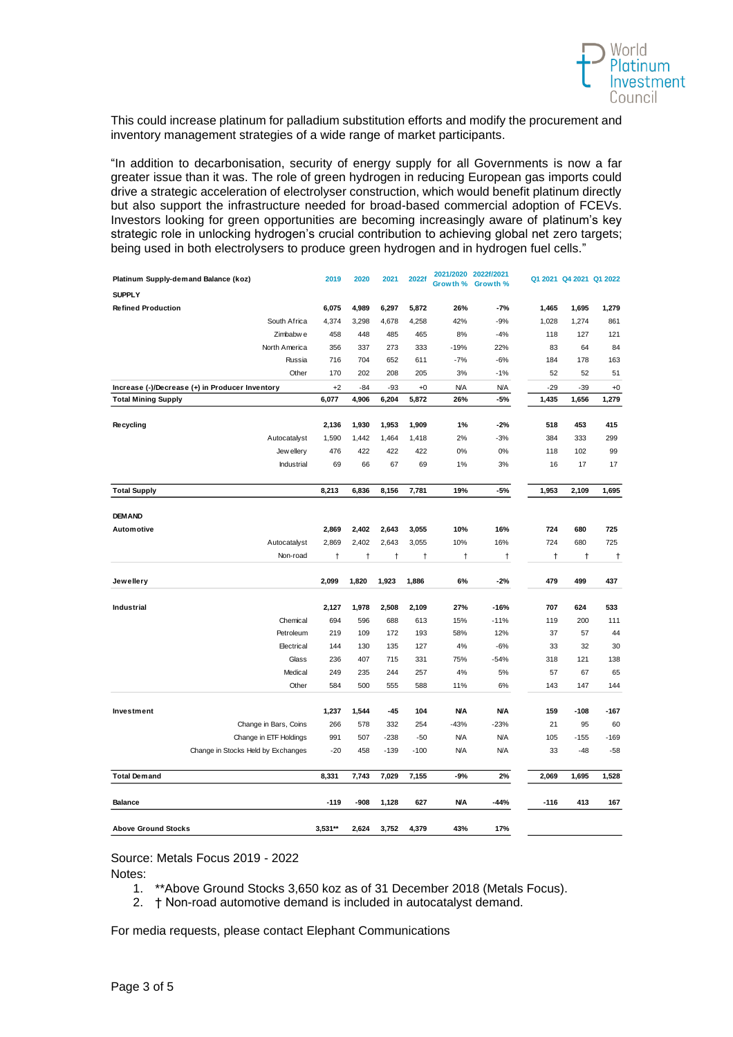

This could increase platinum for palladium substitution efforts and modify the procurement and inventory management strategies of a wide range of market participants.

"In addition to decarbonisation, security of energy supply for all Governments is now a far greater issue than it was. The role of green hydrogen in reducing European gas imports could drive a strategic acceleration of electrolyser construction, which would benefit platinum directly but also support the infrastructure needed for broad-based commercial adoption of FCEVs. Investors looking for green opportunities are becoming increasingly aware of platinum's key strategic role in unlocking hydrogen's crucial contribution to achieving global net zero targets; being used in both electrolysers to produce green hydrogen and in hydrogen fuel cells."

| Platinum Supply-demand Balance (koz)            | 2019       | 2020  | 2021   | 2022f  | 20<br>/2020<br>Growth % | 20221/2021<br>Growth % |        | Q1 2021 Q4 2021 Q1 2022 |        |
|-------------------------------------------------|------------|-------|--------|--------|-------------------------|------------------------|--------|-------------------------|--------|
| <b>SUPPLY</b>                                   |            |       |        |        |                         |                        |        |                         |        |
| <b>Refined Production</b>                       | 6,075      | 4,989 | 6,297  | 5,872  | 26%                     | $-7%$                  | 1,465  | 1,695                   | 1,279  |
| South Africa                                    | 4,374      | 3,298 | 4,678  | 4,258  | 42%                     | $-9%$                  | 1,028  | 1,274                   | 861    |
| Zimbabw e                                       | 458        | 448   | 485    | 465    | 8%                      | $-4%$                  | 118    | 127                     | 121    |
| North America                                   | 356        | 337   | 273    | 333    | $-19%$                  | 22%                    | 83     | 64                      | 84     |
| Russia                                          | 716        | 704   | 652    | 611    | $-7%$                   | $-6%$                  | 184    | 178                     | 163    |
| Other                                           | 170        | 202   | 208    | 205    | 3%                      | $-1%$                  | 52     | 52                      | 51     |
| Increase (-)/Decrease (+) in Producer Inventory | $+2$       | -84   | -93    | $+0$   | <b>N/A</b>              | ΝA                     | $-29$  | -39                     | $+0$   |
| <b>Total Mining Supply</b>                      | 6,077      | 4,906 | 6,204  | 5,872  | 26%                     | -5%                    | 1,435  | 1,656                   | 1,279  |
| Recycling                                       | 2,136      | 1,930 | 1,953  | 1,909  | 1%                      | $-2%$                  | 518    | 453                     | 415    |
| Autocatalyst                                    | 1,590      | 1,442 | 1,464  | 1,418  | 2%                      | $-3%$                  | 384    | 333                     | 299    |
| Jew ellery                                      | 476        | 422   | 422    | 422    | 0%                      | 0%                     | 118    | 102                     | 99     |
| Industrial                                      | 69         | 66    | 67     | 69     | 1%                      | 3%                     | 16     | 17                      | 17     |
| <b>Total Supply</b>                             | 8,213      | 6,836 | 8,156  | 7,781  | 19%                     | $-5%$                  | 1,953  | 2,109                   | 1,695  |
|                                                 |            |       |        |        |                         |                        |        |                         |        |
| <b>DEM AND</b>                                  |            |       |        |        |                         |                        |        |                         |        |
| Automotive                                      | 2,869      | 2,402 | 2,643  | 3,055  | 10%                     | 16%                    | 724    | 680                     | 725    |
| Autocatalyst                                    | 2,869      | 2,402 | 2,643  | 3,055  | 10%                     | 16%                    | 724    | 680                     | 725    |
| Non-road                                        | $\ddagger$ | Ť     | Ť      | Ť      | $\ddagger$              | Ť                      | t      | $\ddagger$              | t      |
| Jewellery                                       | 2,099      | 1,820 | 1,923  | 1,886  | 6%                      | $-2%$                  | 479    | 499                     | 437    |
|                                                 |            |       |        |        |                         |                        |        |                         |        |
| Industrial                                      | 2,127      | 1,978 | 2,508  | 2,109  | 27%                     | $-16%$                 | 707    | 624                     | 533    |
| Chemical                                        | 694        | 596   | 688    | 613    | 15%                     | $-11%$                 | 119    | 200                     | 111    |
| Petroleum                                       | 219        | 109   | 172    | 193    | 58%                     | 12%                    | 37     | 57                      | 44     |
| Electrical                                      | 144        | 130   | 135    | 127    | 4%                      | $-6%$                  | 33     | 32                      | 30     |
| Glass                                           | 236        | 407   | 715    | 331    | 75%                     | $-54%$                 | 318    | 121                     | 138    |
| Medical                                         | 249        | 235   | 244    | 257    | 4%                      | 5%                     | 57     | 67                      | 65     |
| Other                                           | 584        | 500   | 555    | 588    | 11%                     | 6%                     | 143    | 147                     | 144    |
| Investment                                      | 1,237      | 1,544 | $-45$  | 104    | <b>N/A</b>              | <b>N/A</b>             | 159    | $-108$                  | $-167$ |
| Change in Bars, Coins                           | 266        | 578   | 332    | 254    | $-43%$                  | $-23%$                 | 21     | 95                      | 60     |
| Change in ETF Holdings                          | 991        | 507   | $-238$ | $-50$  | <b>N/A</b>              | N/A                    | 105    | $-155$                  | $-169$ |
| Change in Stocks Held by Exchanges              | $-20$      | 458   | $-139$ | $-100$ | <b>N/A</b>              | N/A                    | 33     | $-48$                   | $-58$  |
| <b>Total Demand</b>                             | 8,331      | 7,743 | 7,029  | 7,155  | $-9%$                   | 2%                     | 2,069  | 1,695                   | 1,528  |
| <b>Balance</b>                                  | $-119$     | -908  | 1,128  | 627    | <b>N/A</b>              | -44%                   | $-116$ | 413                     | 167    |
|                                                 |            |       |        |        |                         |                        |        |                         |        |
| <b>Above Ground Stocks</b>                      | 3,531**    | 2,624 | 3,752  | 4,379  | 43%                     | 17%                    |        |                         |        |

Source: Metals Focus 2019 - 2022

Notes:

- 1. \*\*Above Ground Stocks 3,650 koz as of 31 December 2018 (Metals Focus).
- 2. † Non-road automotive demand is included in autocatalyst demand.

For media requests, please contact Elephant Communications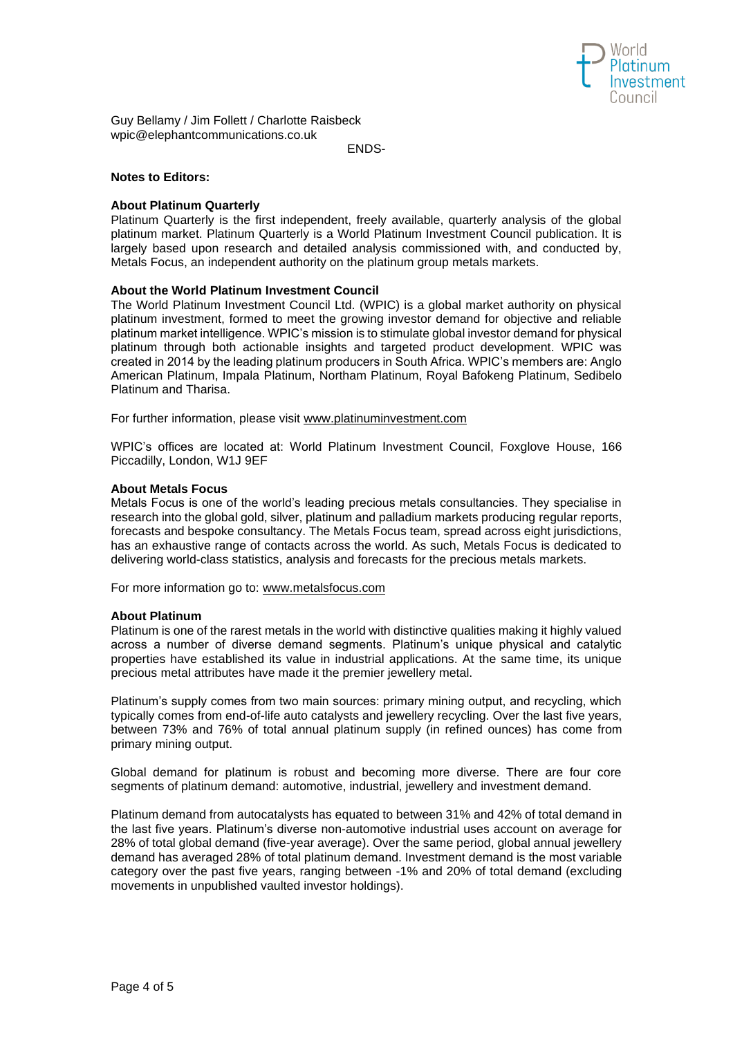

Guy Bellamy / Jim Follett / Charlotte Raisbeck wpic@elephantcommunications.co.uk

ENDS-

# **Notes to Editors:**

# **About Platinum Quarterly**

Platinum Quarterly is the first independent, freely available, quarterly analysis of the global platinum market. Platinum Quarterly is a World Platinum Investment Council publication. It is largely based upon research and detailed analysis commissioned with, and conducted by, Metals Focus, an independent authority on the platinum group metals markets.

# **About the World Platinum Investment Council**

The World Platinum Investment Council Ltd. (WPIC) is a global market authority on physical platinum investment, formed to meet the growing investor demand for objective and reliable platinum market intelligence. WPIC's mission is to stimulate global investor demand for physical platinum through both actionable insights and targeted product development. WPIC was created in 2014 by the leading platinum producers in South Africa. WPIC's members are: Anglo American Platinum, Impala Platinum, Northam Platinum, Royal Bafokeng Platinum, Sedibelo Platinum and Tharisa.

For further information, please visit [www.platinuminvestment.com](http://www.platinuminvestment.com/) 

WPIC's offices are located at: World Platinum Investment Council, Foxglove House, 166 Piccadilly, London, W1J 9EF

# **About Metals Focus**

Metals Focus is one of the world's leading precious metals consultancies. They specialise in research into the global gold, silver, platinum and palladium markets producing regular reports, forecasts and bespoke consultancy. The Metals Focus team, spread across eight jurisdictions, has an exhaustive range of contacts across the world. As such, Metals Focus is dedicated to delivering world-class statistics, analysis and forecasts for the precious metals markets.

For more information go to: [www.metalsfocus.com](http://www.metalsfocus.com/) 

# **About Platinum**

Platinum is one of the rarest metals in the world with distinctive qualities making it highly valued across a number of diverse demand segments. Platinum's unique physical and catalytic properties have established its value in industrial applications. At the same time, its unique precious metal attributes have made it the premier jewellery metal.

Platinum's supply comes from two main sources: primary mining output, and recycling, which typically comes from end-of-life auto catalysts and jewellery recycling. Over the last five years, between 73% and 76% of total annual platinum supply (in refined ounces) has come from primary mining output.

Global demand for platinum is robust and becoming more diverse. There are four core segments of platinum demand: automotive, industrial, jewellery and investment demand.

Platinum demand from autocatalysts has equated to between 31% and 42% of total demand in the last five years. Platinum's diverse non-automotive industrial uses account on average for 28% of total global demand (five-year average). Over the same period, global annual jewellery demand has averaged 28% of total platinum demand. Investment demand is the most variable category over the past five years, ranging between -1% and 20% of total demand (excluding movements in unpublished vaulted investor holdings).